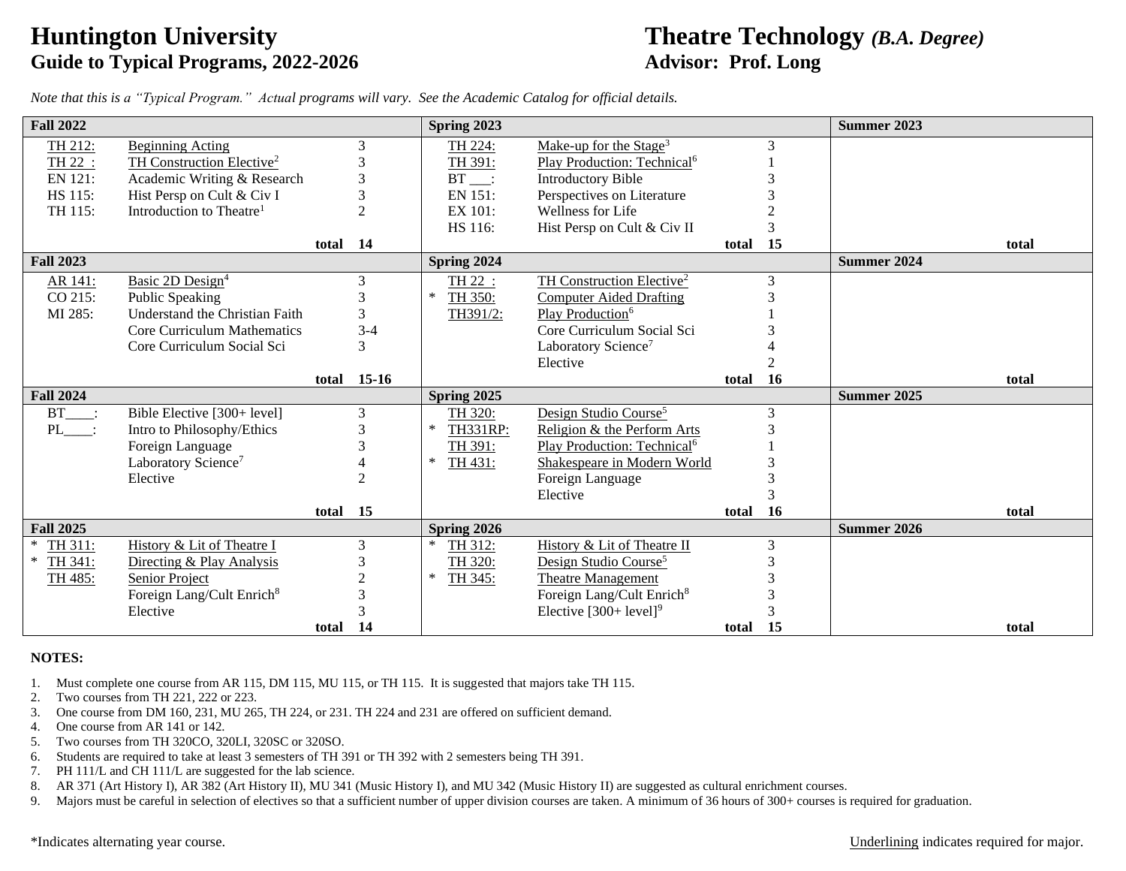# **Guide to Typical Programs, 2022-2026 Advisor: Prof. Long**

## **Huntington University Theatre Technology** *(B.A. Degree)*

*Note that this is a "Typical Program." Actual programs will vary. See the Academic Catalog for official details.*

| <b>Fall 2022</b>  |                                       |          |                             | Spring 2023           |                                         |       |              | <b>Summer 2023</b> |
|-------------------|---------------------------------------|----------|-----------------------------|-----------------------|-----------------------------------------|-------|--------------|--------------------|
| TH 212:           | <b>Beginning Acting</b>               |          | 3                           | TH 224:               | Make-up for the Stage <sup>3</sup>      |       | $\mathbf{3}$ |                    |
| TH 22 :           | TH Construction Elective <sup>2</sup> |          | 3                           | TH 391:               | Play Production: Technical <sup>6</sup> |       |              |                    |
| EN 121:           | Academic Writing & Research           |          | 3                           | $BT$ :                | <b>Introductory Bible</b>               |       |              |                    |
| HS 115:           | Hist Persp on Cult & Civ I            |          | 3                           | EN 151:               | Perspectives on Literature              |       |              |                    |
| TH 115:           | Introduction to Theatre <sup>1</sup>  |          | $\mathfrak{D}$              | EX 101:               | Wellness for Life                       |       |              |                    |
|                   |                                       |          |                             | HS 116:               | Hist Persp on Cult & Civ II             |       |              |                    |
|                   |                                       | total    | - 14                        |                       |                                         | total | 15           | total              |
| <b>Fall 2023</b>  |                                       |          |                             | <b>Spring 2024</b>    |                                         |       |              | Summer 2024        |
| AR 141:           | Basic 2D Design <sup>4</sup>          |          | 3                           | TH 22 :               | TH Construction Elective <sup>2</sup>   |       | 3            |                    |
| CO 215:           | Public Speaking                       |          |                             | $\ast$<br>TH 350:     | <b>Computer Aided Drafting</b>          |       |              |                    |
| MI 285:           | Understand the Christian Faith        |          | 3                           | TH391/2:              | Play Production <sup>6</sup>            |       |              |                    |
|                   | Core Curriculum Mathematics           |          | $3 - 4$                     |                       | Core Curriculum Social Sci              |       |              |                    |
|                   | Core Curriculum Social Sci            |          | 3                           |                       | Laboratory Science <sup>7</sup>         |       |              |                    |
|                   |                                       |          |                             |                       | Elective                                |       |              |                    |
|                   |                                       | total    | $15-16$                     |                       |                                         | total | 16           | total              |
| <b>Fall 2024</b>  |                                       |          |                             | Spring 2025           |                                         |       |              | <b>Summer 2025</b> |
| $BT$ :            | Bible Elective [300+ level]           |          | 3                           | TH 320:               | Design Studio Course <sup>5</sup>       |       | 3            |                    |
| PL :              | Intro to Philosophy/Ethics            |          | $\mathcal{R}$               | $\ast$<br>TH331RP:    | Religion & the Perform Arts             |       |              |                    |
|                   | Foreign Language                      |          | 3                           | TH 391:               | Play Production: Technical <sup>6</sup> |       |              |                    |
|                   | Laboratory Science <sup>7</sup>       |          |                             | ∗<br>TH 431:          | Shakespeare in Modern World             |       |              |                    |
|                   | Elective                              |          | $\mathcal{D}_{\mathcal{A}}$ |                       | Foreign Language                        |       |              |                    |
|                   |                                       |          |                             |                       | Elective                                |       |              |                    |
|                   |                                       | total 15 |                             |                       |                                         | total | <b>16</b>    | total              |
| <b>Fall 2025</b>  |                                       |          |                             | Spring 2026<br>$\ast$ |                                         |       |              | Summer 2026        |
| TH 311:<br>$\ast$ | History & Lit of Theatre I            |          | 3                           | TH 312:               | History & Lit of Theatre II             |       | 3            |                    |
| TH 341:           | Directing & Play Analysis             |          |                             | TH 320:<br>$\ast$     | Design Studio Course <sup>5</sup>       |       |              |                    |
| TH 485:           | Senior Project                        |          | $\mathcal{D}$               | TH 345:               | <b>Theatre Management</b>               |       |              |                    |
|                   | Foreign Lang/Cult Enrich <sup>8</sup> |          |                             |                       | Foreign Lang/Cult Enrich <sup>8</sup>   |       |              |                    |
|                   | Elective                              |          |                             |                       | Elective $[300+level]$ <sup>9</sup>     |       |              |                    |
|                   |                                       | total    | 14                          |                       |                                         | total | 15           | total              |

### **NOTES:**

1. Must complete one course from AR 115, DM 115, MU 115, or TH 115. It is suggested that majors take TH 115.

- 2. Two courses from TH 221, 222 or 223.
- 3. One course from DM 160, 231, MU 265, TH 224, or 231. TH 224 and 231 are offered on sufficient demand.
- 4. One course from AR 141 or 142.
- 5. Two courses from TH 320CO, 320LI, 320SC or 320SO.
- 6. Students are required to take at least 3 semesters of TH 391 or TH 392 with 2 semesters being TH 391.
- 7. PH 111/L and CH 111/L are suggested for the lab science.
- 8. AR 371 (Art History I), AR 382 (Art History II), MU 341 (Music History I), and MU 342 (Music History II) are suggested as cultural enrichment courses.
- 9. Majors must be careful in selection of electives so that a sufficient number of upper division courses are taken. A minimum of 36 hours of 300+ courses is required for graduation.